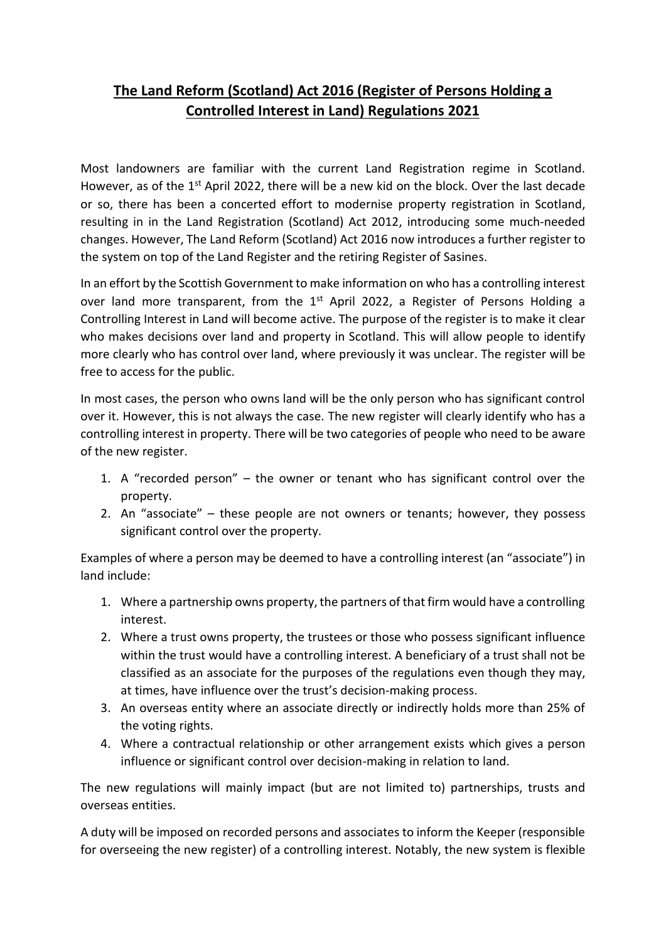## **The Land Reform (Scotland) Act 2016 (Register of Persons Holding a Controlled Interest in Land) Regulations 2021**

Most landowners are familiar with the current Land Registration regime in Scotland. However, as of the  $1<sup>st</sup>$  April 2022, there will be a new kid on the block. Over the last decade or so, there has been a concerted effort to modernise property registration in Scotland, resulting in in the Land Registration (Scotland) Act 2012, introducing some much-needed changes. However, The Land Reform (Scotland) Act 2016 now introduces a further register to the system on top of the Land Register and the retiring Register of Sasines.

In an effort by the Scottish Government to make information on who has a controlling interest over land more transparent, from the 1<sup>st</sup> April 2022, a Register of Persons Holding a Controlling Interest in Land will become active. The purpose of the register is to make it clear who makes decisions over land and property in Scotland. This will allow people to identify more clearly who has control over land, where previously it was unclear. The register will be free to access for the public.

In most cases, the person who owns land will be the only person who has significant control over it. However, this is not always the case. The new register will clearly identify who has a controlling interest in property. There will be two categories of people who need to be aware of the new register.

- 1. A "recorded person" the owner or tenant who has significant control over the property.
- 2. An "associate" these people are not owners or tenants; however, they possess significant control over the property.

Examples of where a person may be deemed to have a controlling interest (an "associate") in land include:

- 1. Where a partnership owns property, the partners of that firm would have a controlling interest.
- 2. Where a trust owns property, the trustees or those who possess significant influence within the trust would have a controlling interest. A beneficiary of a trust shall not be classified as an associate for the purposes of the regulations even though they may, at times, have influence over the trust's decision-making process.
- 3. An overseas entity where an associate directly or indirectly holds more than 25% of the voting rights.
- 4. Where a contractual relationship or other arrangement exists which gives a person influence or significant control over decision-making in relation to land.

The new regulations will mainly impact (but are not limited to) partnerships, trusts and overseas entities.

A duty will be imposed on recorded persons and associates to inform the Keeper (responsible for overseeing the new register) of a controlling interest. Notably, the new system is flexible